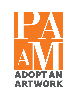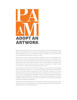

With a Permanent Collection of nearly 4,000 objects, PAAM is dedicated to preserving and exhibiting as much work for public consumption as possible. Some pieces, however, come to us in need of costly restorations, which are imperative to completing prior to the work going on view.

Whether due to age, improper storage or display, or worse (like damage from fire or flood), many pieces that have found their way into our collection are in need of some sort of rehabilitation. Some simply need cleaning or framing, while others may need more extensive repairs. We are methodically working through the collection to select pieces that are in need of restoration, in order to preserve them for present and future generations to enjoy.

By donating to the Adopt an Artwork program, you are directly underwriting these restoration efforts. You can chose to donate to the General Restoration Fund, which goes toward restoration of works of PAAM's chosing, or, you can donate the full cost to have a particular piece brought back to its former glory. If you choose to donate the full restorative cost, you will receive before-and-after images once the restoration is complete, and you will be credited on the piece's exhibition label for all future showings. All donations to the Adopt an Artwork program are 100% tax deductible.

This binder shows all the works we currently have available for adoption, their needs, and the cost. For more information, or to donate, please contact PAAM Registrar Seth Abrahamson via seth@paam.org.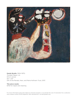

**Gandy Brodie** (1924–1975) *Trumpet Player*, n.d. Oil on canvas 50" x 44" Gift of the Renate, Hans, and Maria Hofmann Trust, 2013

**This piece needs:** \$750 for repair and cleaning.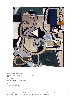

**Perle Fine** (1908–1988) *Nautical Composition/Provincetown,* 1946 Oil on canvas 45.5" x 39" Gift of Susan C. Larsen, 1998

#### **This piece needs:**

\$250 for reframing.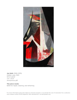

**Jan Gelb** (1906–1979) *Hidden Lake*, 1933 Oil on panel  $7.5'' \times 14.5''$ Anonymous gift

## **This piece needs:**

\$300 for repair, cleaning, and reframing.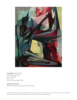

**Jan Gelb** (1906–1979) *Of Driftwood*, 1956 Oil on canvas 54" x 42" Gift of Lester Gelb, 1979

#### **This piece needs:**

\$900 for repair, cleaning, and reframing.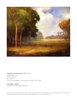

# **Joseph Lane Hancock** (1864–1922)

*Landscape,* n.d. Oil on canvas 18" x 23" Gift of the Barbara C. Murchison Living Trust, 2016

# **This piece needs:**

\$1,000 for repair and cleaning.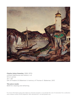

#### **Charles Anton Kaeselau** (1889–1970)

untitled (lighthouse and harbor), n.d. Oil on canvas 25" x 30" Gift of Frederic B. Blakeman in memory of Thomas G. Blakeman, 2013

#### **This piece needs:**

\$500 for cleaning and reframing.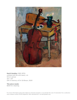

**Gerrit Hondius** (1891–1970) untitled (still life with bass), n.d. Oil on canvas 43" x 33" Gift in memory of Dr. Ed Braun, 2020

#### **This piece needs:**

\$500 for cleaning.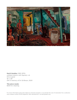

**Gerrit Hondius** (1891–1970) untitled (interior with figures), n.d. Oil on panel 16" x 26" Gift in memory of Dr. Ed Braun, 2020

**This piece needs:**

\$500 for cleaning.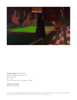

**Gerrit Hondius** (1891–1970) untitled (billiards players), n.d. Oil on canvas 30" x 50" Gift in memory of Dr. Ed Braun, 2020

## **This piece needs:**

\$500 for cleaning.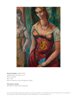

**Gerrit Hondius** (1891–1970) untitled (two women), n.d. Oil on canvas 39" x 29" Gift in memory of Dr. Ed Braun, 2020

## **This piece needs:**

\$1,000 for repair and cleaning.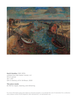

**Gerrit Hondius** (1891–1970) untitled (low tide harbor scene), n.d. Oil on canvas 30" x 40" Gift in memory of Dr. Ed Braun, 2020

# **This piece needs:**

\$1,700 for repair, cleaning, and reframing.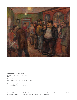

**Gerrit Hondius** (1891–1970) untitled (McSorley's Pub), n.d. Oil on canvas 24" x 30" Gift in memory of Dr. Ed Braun, 2020

## **This piece needs:**

\$1,000 for repair and cleaning.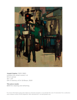

**Joseph Kaplan** (1900–1982) untitled (city street scene), n.d. Oil on canvas 30" x 24" Gift in memory of Dr. Ed Braun, 2020

## **This piece needs:**

\$800 for cleaning and reframing.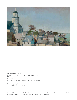

**Frank Milby** (b. 1933) untitled (Provincetown seen from harbor), n.d. Oil on canvas 24" x 48" From the collection of Helen and Napi Van Dereck

## **This piece needs:**

\$500 for repair and cleaning.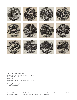

**Clare Leighton** (1898–1988) *New England Industries* series (12 pieces), 1952 Wood block prints 10" x 10" Gifts of Frank and Eleanor Bowers, 2010

#### **These pieces need:**

\$1,700 for framing.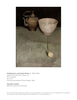

#### **Attributed to Jack Stuart Rivers** (c. 1896–1986)

untitled (still life with onion), n.d. Oil on canvas 24" x 18" Gift from the estate of Ruth Engels, 1994

## **This piece needs:**

\$600 for repair and cleaning.